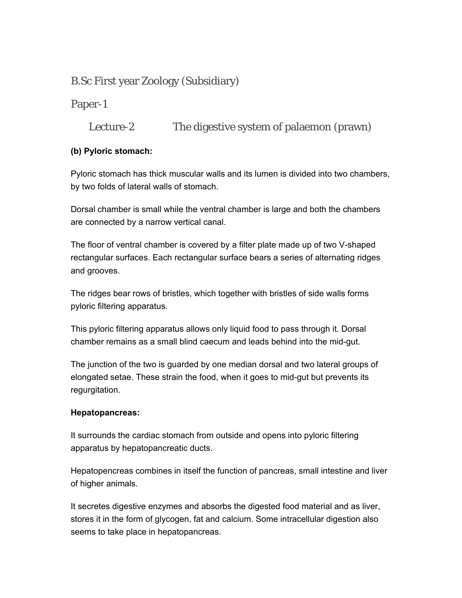# B.Sc First year Zoology (Subsidiary)

Paper-1

Lecture-2 The digestive system of palaemon (prawn)

## **(b) Pyloric stomach:**

Pyloric stomach has thick muscular walls and its lumen is divided into two chambers, by two folds of lateral walls of stomach.

Dorsal chamber is small while the ventral chamber is large and both the chambers are connected by a narrow vertical canal.

The floor of ventral chamber is covered by a filter plate made up of two V-shaped rectangular surfaces. Each rectangular surface bears a series of alternating ridges and grooves.

The ridges bear rows of bristles, which together with bristles of side walls forms pyloric filtering apparatus.

This pyloric filtering apparatus allows only liquid food to pass through it. Dorsal chamber remains as a small blind caecum and leads behind into the mid-gut.

The junction of the two is guarded by one median dorsal and two lateral groups of elongated setae. These strain the food, when it goes to mid-gut but prevents its regurgitation.

## **Hepatopancreas:**

It surrounds the cardiac stomach from outside and opens into pyloric filtering apparatus by hepatopancreatic ducts.

Hepatopencreas combines in itself the function of pancreas, small intestine and liver of higher animals.

It secretes digestive enzymes and absorbs the digested food material and as liver, stores it in the form of glycogen, fat and calcium. Some intracellular digestion also seems to take place in hepatopancreas.